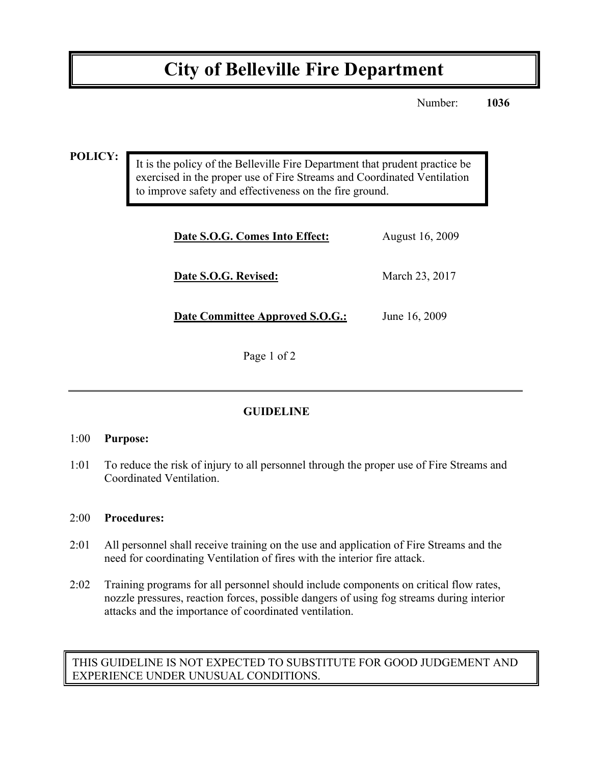# **City of Belleville Fire Department**

Number: **1036**

**POLICY:**

It is the policy of the Belleville Fire Department that prudent practice be exercised in the proper use of Fire Streams and Coordinated Ventilation to improve safety and effectiveness on the fire ground.

| Date S.O.G. Comes Into Effect:  | August 16, 2009 |
|---------------------------------|-----------------|
| Date S.O.G. Revised:            | March 23, 2017  |
| Date Committee Approved S.O.G.: | June 16, 2009   |

Page 1 of 2

## **GUIDELINE**

#### 1:00 **Purpose:**

1:01 To reduce the risk of injury to all personnel through the proper use of Fire Streams and Coordinated Ventilation.

#### 2:00 **Procedures:**

- 2:01 All personnel shall receive training on the use and application of Fire Streams and the need for coordinating Ventilation of fires with the interior fire attack.
- 2:02 Training programs for all personnel should include components on critical flow rates, nozzle pressures, reaction forces, possible dangers of using fog streams during interior attacks and the importance of coordinated ventilation.

### THIS GUIDELINE IS NOT EXPECTED TO SUBSTITUTE FOR GOOD JUDGEMENT AND EXPERIENCE UNDER UNUSUAL CONDITIONS.